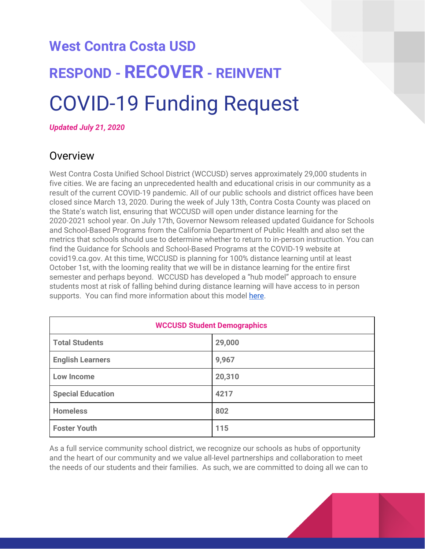# **West Contra Costa USD RESPOND - RECOVER - REINVENT** COVID-19 Funding Request

*Updated July 21, 2020*

### **Overview**

West Contra Costa Unified School District (WCCUSD) serves approximately 29,000 students in five cities. We are facing an unprecedented health and educational crisis in our community as a result of the current COVID-19 pandemic. All of our public schools and district offices have been closed since March 13, 2020. During the week of July 13th, Contra Costa County was placed on the State's watch list, ensuring that WCCUSD will open under distance learning for the 2020-2021 school year. On July 17th, Governor Newsom released updated Guidance for Schools and School-Based Programs from the California Department of Public Health and also set the metrics that schools should use to determine whether to return to in-person instruction. You can find the Guidance for Schools and School-Based Programs at the COVID-19 website at covid19.ca.gov. At this time, WCCUSD is planning for 100% distance learning until at least October 1st, with the looming reality that we will be in distance learning for the entire first semester and perhaps beyond. WCCUSD has developed a "hub model" approach to ensure students most at risk of falling behind during distance learning will have access to in person supports. You can find more information about this model [here](https://www.wccusd.net/Page/14467).

| <b>WCCUSD Student Demographics</b> |        |  |
|------------------------------------|--------|--|
| <b>Total Students</b>              | 29,000 |  |
| <b>English Learners</b>            | 9,967  |  |
| <b>Low Income</b>                  | 20,310 |  |
| <b>Special Education</b>           | 4217   |  |
| <b>Homeless</b>                    | 802    |  |
| <b>Foster Youth</b>                | 115    |  |

As a full service community school district, we recognize our schools as hubs of opportunity and the heart of our community and we value all-level partnerships and collaboration to meet the needs of our students and their families. As such, we are committed to doing all we can to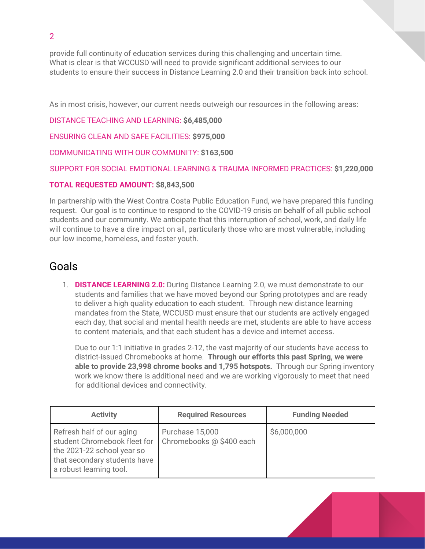provide full continuity of education services during this challenging and uncertain time. What is clear is that WCCUSD will need to provide significant additional services to our students to ensure their success in Distance Learning 2.0 and their transition back into school.

As in most crisis, however, our current needs outweigh our resources in the following areas:

DISTANCE TEACHING AND LEARNING: **\$6,485,000**

ENSURING CLEAN AND SAFE FACILITIES: **\$975,000**

COMMUNICATING WITH OUR COMMUNITY: **\$163,500**

SUPPORT FOR SOCIAL EMOTIONAL LEARNING & TRAUMA INFORMED PRACTICES: **\$1,220,000**

#### **TOTAL REQUESTED AMOUNT: \$8,843,500**

In partnership with the West Contra Costa Public Education Fund, we have prepared this funding request. Our goal is to continue to respond to the COVID-19 crisis on behalf of all public school students and our community. We anticipate that this interruption of school, work, and daily life will continue to have a dire impact on all, particularly those who are most vulnerable, including our low income, homeless, and foster youth.

## Goals

1. **DISTANCE LEARNING 2.0:** During Distance Learning 2.0, we must demonstrate to our students and families that we have moved beyond our Spring prototypes and are ready to deliver a high quality education to each student. Through new distance learning mandates from the State, WCCUSD must ensure that our students are actively engaged each day, that social and mental health needs are met, students are able to have access to content materials, and that each student has a device and internet access.

Due to our 1:1 initiative in grades 2-12, the vast majority of our students have access to district-issued Chromebooks at home. **Through our efforts this past Spring, we were able to provide 23,998 chrome books and 1,795 hotspots.** Through our Spring inventory work we know there is additional need and we are working vigorously to meet that need for additional devices and connectivity.

| <b>Activity</b>                                                                                                                                    | <b>Required Resources</b>                   | <b>Funding Needed</b> |
|----------------------------------------------------------------------------------------------------------------------------------------------------|---------------------------------------------|-----------------------|
| Refresh half of our aging<br>student Chromebook fleet for<br>the 2021-22 school year so<br>that secondary students have<br>a robust learning tool. | Purchase 15,000<br>Chromebooks @ \$400 each | \$6,000,000           |

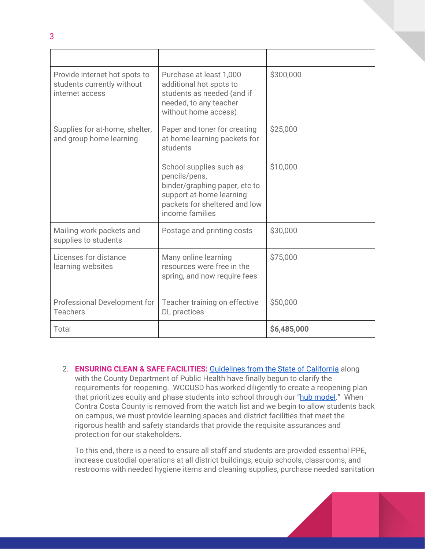| Provide internet hot spots to<br>students currently without<br>internet access | Purchase at least 1,000<br>additional hot spots to<br>students as needed (and if<br>needed, to any teacher<br>without home access)                        | \$300,000   |
|--------------------------------------------------------------------------------|-----------------------------------------------------------------------------------------------------------------------------------------------------------|-------------|
| Supplies for at-home, shelter,<br>and group home learning                      | Paper and toner for creating<br>at-home learning packets for<br>students                                                                                  | \$25,000    |
|                                                                                | School supplies such as<br>pencils/pens,<br>binder/graphing paper, etc to<br>support at-home learning<br>packets for sheltered and low<br>income families | \$10,000    |
| Mailing work packets and<br>supplies to students                               | Postage and printing costs                                                                                                                                | \$30,000    |
| Licenses for distance<br>learning websites                                     | Many online learning<br>resources were free in the<br>spring, and now require fees                                                                        | \$75,000    |
| Professional Development for<br><b>Teachers</b>                                | Teacher training on effective<br>DL practices                                                                                                             | \$50,000    |
| Total                                                                          |                                                                                                                                                           | \$6,485,000 |

2. **ENSURING CLEAN & SAFE FACILITIES:** [Guidelines](https://files.covid19.ca.gov/pdf/guidance-schools.pdf) from the State of California along with the County Department of Public Health have finally begun to clarify the requirements for reopening. WCCUSD has worked diligently to create a reopening plan that prioritizes equity and phase students into school through our "hub [model.](https://www.wccusd.net/cms/lib/CA01001466/Centricity/domain/24/20_21%20school%20year/Returntoschoolframeworkoption4%20july%209.pdf)" When Contra Costa County is removed from the watch list and we begin to allow students back on campus, we must provide learning spaces and district facilities that meet the rigorous health and safety standards that provide the requisite assurances and protection for our stakeholders.

To this end, there is a need to ensure all staff and students are provided essential PPE, increase custodial operations at all district buildings, equip schools, classrooms, and restrooms with needed hygiene items and cleaning supplies, purchase needed sanitation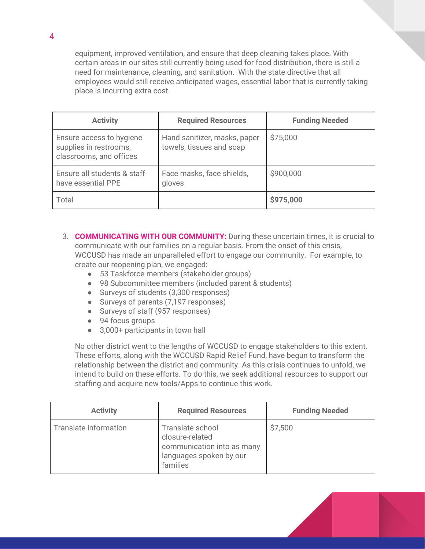equipment, improved ventilation, and ensure that deep cleaning takes place. With certain areas in our sites still currently being used for food distribution, there is still a need for maintenance, cleaning, and sanitation. With the state directive that all employees would still receive anticipated wages, essential labor that is currently taking place is incurring extra cost.

| <b>Activity</b>                                                               | <b>Required Resources</b>                                | <b>Funding Needed</b> |
|-------------------------------------------------------------------------------|----------------------------------------------------------|-----------------------|
| Ensure access to hygiene<br>supplies in restrooms,<br>classrooms, and offices | Hand sanitizer, masks, paper<br>towels, tissues and soap | \$75,000              |
| Ensure all students & staff<br>have essential PPE                             | Face masks, face shields,<br>gloves                      | \$900,000             |
| Total                                                                         |                                                          | \$975,000             |

- 3. **COMMUNICATING WITH OUR COMMUNITY:** During these uncertain times, it is crucial to communicate with our families on a regular basis. From the onset of this crisis, WCCUSD has made an unparalleled effort to engage our community. For example, to create our reopening plan, we engaged:
	- 53 Taskforce members (stakeholder groups)
	- 98 Subcommittee members (included parent & students)
	- Surveys of students (3,300 responses)
	- Surveys of parents (7,197 responses)
	- Surveys of staff (957 responses)
	- 94 focus groups
	- 3,000+ participants in town hall

No other district went to the lengths of WCCUSD to engage stakeholders to this extent. These efforts, along with the WCCUSD Rapid Relief Fund, have begun to transform the relationship between the district and community. As this crisis continues to unfold, we intend to build on these efforts. To do this, we seek additional resources to support our staffing and acquire new tools/Apps to continue this work.

| <b>Activity</b>       | <b>Required Resources</b>                                                                                | <b>Funding Needed</b> |
|-----------------------|----------------------------------------------------------------------------------------------------------|-----------------------|
| Translate information | Translate school<br>closure-related<br>communication into as many<br>languages spoken by our<br>families | \$7,500               |

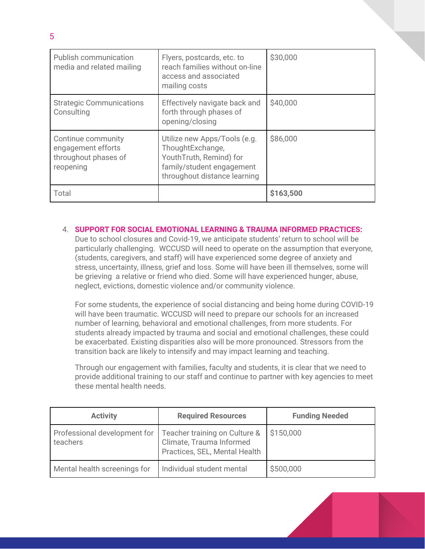| Publish communication<br>media and related mailing                            | Flyers, postcards, etc. to<br>reach families without on-line<br>access and associated<br>mailing costs                                   | \$30,000  |
|-------------------------------------------------------------------------------|------------------------------------------------------------------------------------------------------------------------------------------|-----------|
| <b>Strategic Communications</b><br>Consulting                                 | Effectively navigate back and<br>forth through phases of<br>opening/closing                                                              | \$40,000  |
| Continue community<br>engagement efforts<br>throughout phases of<br>reopening | Utilize new Apps/Tools (e.g.<br>ThoughtExchange,<br>YouthTruth, Remind) for<br>family/student engagement<br>throughout distance learning | \$86,000  |
| Total                                                                         |                                                                                                                                          | \$163,500 |

#### 4. **SUPPORT FOR SOCIAL EMOTIONAL LEARNING & TRAUMA INFORMED PRACTICES:**

Due to school closures and Covid-19, we anticipate students' return to school will be particularly challenging. WCCUSD will need to operate on the assumption that everyone, (students, caregivers, and staff) will have experienced some degree of anxiety and stress, uncertainty, illness, grief and loss. Some will have been ill themselves, some will be grieving a relative or friend who died. Some will have experienced hunger, abuse, neglect, evictions, domestic violence and/or community violence.

For some students, the experience of social distancing and being home during COVID-19 will have been traumatic. WCCUSD will need to prepare our schools for an increased number of learning, behavioral and emotional challenges, from more students. For students already impacted by trauma and social and emotional challenges, these could be exacerbated. Existing disparities also will be more pronounced. Stressors from the transition back are likely to intensify and may impact learning and teaching.

Through our engagement with families, faculty and students, it is clear that we need to provide additional training to our staff and continue to partner with key agencies to meet these mental health needs.

| <b>Activity</b>                          | <b>Required Resources</b>                                                                  | <b>Funding Needed</b> |
|------------------------------------------|--------------------------------------------------------------------------------------------|-----------------------|
| Professional development for<br>teachers | Teacher training on Culture &<br>Climate, Trauma Informed<br>Practices, SEL, Mental Health | \$150,000             |
| Mental health screenings for             | Individual student mental                                                                  | \$500,000             |